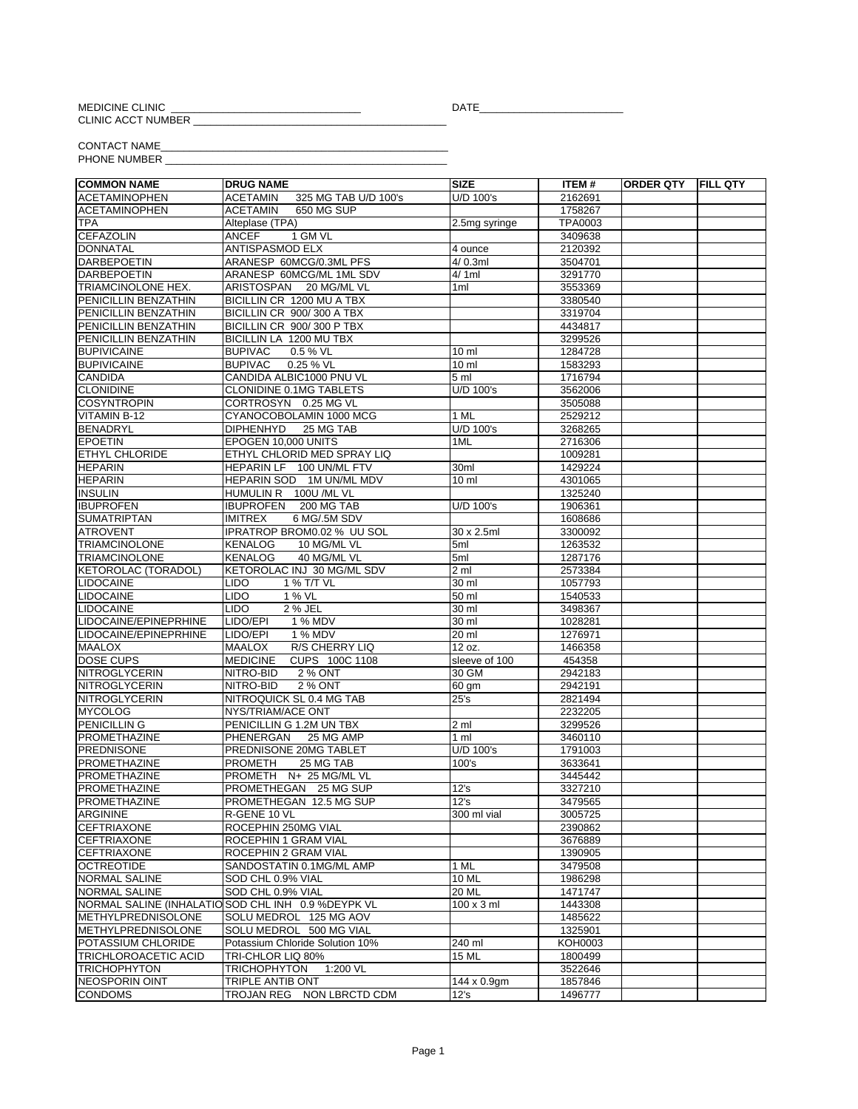MEDICINE CLINIC<br>CLINIC ACCT NUMBER

DATE\_

CONTACT NAME\_<br>PHONE NUMBER

| <b>COMMON NAME</b>         | <b>DRUG NAME</b>                                    | <b>SIZE</b>        | ITEM #  | <b>ORDER QTY FILL QTY</b> |  |
|----------------------------|-----------------------------------------------------|--------------------|---------|---------------------------|--|
| <b>ACETAMINOPHEN</b>       | 325 MG TAB U/D 100's<br><b>ACETAMIN</b>             | U/D 100's          | 2162691 |                           |  |
| <b>ACETAMINOPHEN</b>       | <b>ACETAMIN</b><br><b>650 MG SUP</b>                |                    | 1758267 |                           |  |
| <b>TPA</b>                 | Alteplase (TPA)                                     | 2.5mg syringe      | TPA0003 |                           |  |
| <b>CEFAZOLIN</b>           | ANCEF<br>1 GM VL                                    |                    | 3409638 |                           |  |
| <b>DONNATAL</b>            | <b>ANTISPASMOD ELX</b>                              | 4 ounce            | 2120392 |                           |  |
| <b>DARBEPOETIN</b>         | ARANESP 60MCG/0.3ML PFS                             | 4/0.3ml            | 3504701 |                           |  |
| <b>DARBEPOETIN</b>         | ARANESP 60MCG/ML 1ML SDV                            | 4/1ml              | 3291770 |                           |  |
| TRIAMCINOLONE HEX.         | ARISTOSPAN 20 MG/ML VL                              | 1ml                | 3553369 |                           |  |
| PENICILLIN BENZATHIN       | BICILLIN CR 1200 MU A TBX                           |                    | 3380540 |                           |  |
| PENICILLIN BENZATHIN       | BICILLIN CR 900/300 A TBX                           |                    | 3319704 |                           |  |
| PENICILLIN BENZATHIN       | BICILLIN CR 900/300 P TBX                           |                    | 4434817 |                           |  |
| PENICILLIN BENZATHIN       | BICILLIN LA 1200 MU TBX                             |                    | 3299526 |                           |  |
| <b>BUPIVICAINE</b>         | <b>BUPIVAC</b><br>0.5 % VL                          | 10 ml              | 1284728 |                           |  |
| <b>BUPIVICAINE</b>         | <b>BUPIVAC</b><br>0.25 % VL                         | 10 ml              | 1583293 |                           |  |
| <b>CANDIDA</b>             | CANDIDA ALBIC1000 PNU VL                            | 5 ml               | 1716794 |                           |  |
| <b>CLONIDINE</b>           | <b>CLONIDINE 0.1MG TABLETS</b>                      | U/D 100's          | 3562006 |                           |  |
| <b>COSYNTROPIN</b>         | CORTROSYN 0.25 MG VL                                |                    | 3505088 |                           |  |
| VITAMIN B-12               | CYANOCOBOLAMIN 1000 MCG                             | 1 ML               | 2529212 |                           |  |
| <b>BENADRYL</b>            | <b>DIPHENHYD</b><br>25 MG TAB                       | U/D 100's          | 3268265 |                           |  |
| <b>EPOETIN</b>             | EPOGEN 10,000 UNITS                                 | 1ML                | 2716306 |                           |  |
| <b>ETHYL CHLORIDE</b>      | ETHYL CHLORID MED SPRAY LIQ                         |                    | 1009281 |                           |  |
| <b>HEPARIN</b>             | HEPARIN LF 100 UN/ML FTV                            | 30ml               | 1429224 |                           |  |
| <b>HEPARIN</b>             | HEPARIN SOD 1M UN/ML MDV                            | 10 <sub>m</sub>    | 4301065 |                           |  |
| <b>INSULIN</b>             | HUMULIN R 100U /ML VL                               |                    | 1325240 |                           |  |
| <b>IBUPROFEN</b>           | IBUPROFEN 200 MG TAB                                | U/D 100's          | 1906361 |                           |  |
| <b>SUMATRIPTAN</b>         | <b>IMITREX</b><br>6 MG/.5M SDV                      |                    | 1608686 |                           |  |
| <b>ATROVENT</b>            | IPRATROP BROM0.02 % UU SOL                          | 30 x 2.5ml         | 3300092 |                           |  |
| <b>TRIAMCINOLONE</b>       | <b>KENALOG</b><br>10 MG/ML VL                       | 5ml                | 1263532 |                           |  |
| <b>TRIAMCINOLONE</b>       | <b>KENALOG</b><br>40 MG/ML VL                       | 5ml                | 1287176 |                           |  |
| <b>KETOROLAC (TORADOL)</b> | KETOROLAC INJ 30 MG/ML SDV                          | 2 <sub>m1</sub>    | 2573384 |                           |  |
| <b>LIDOCAINE</b>           | <b>LIDO</b><br>1 % T/T VL                           | $\overline{30}$ ml | 1057793 |                           |  |
| LIDOCAINE                  | <b>LIDO</b><br>1 % VL                               | 50 ml              | 1540533 |                           |  |
| <b>LIDOCAINE</b>           | <b>LIDO</b><br>2 % JEL                              | 30 ml              | 3498367 |                           |  |
| LIDOCAINE/EPINEPRHINE      | LIDO/EPI<br>1 % MDV                                 | 30 ml              | 1028281 |                           |  |
| LIDOCAINE/EPINEPRHINE      | 1 % MDV<br>LIDO/EPI                                 | 20 ml              | 1276971 |                           |  |
| <b>MAALOX</b>              | R/S CHERRY LIQ<br><b>MAALOX</b>                     | 12 oz.             | 1466358 |                           |  |
| <b>DOSE CUPS</b>           | <b>MEDICINE</b><br>CUPS 100C 1108                   | sleeve of 100      | 454358  |                           |  |
| NITROGLYCERIN              | 2 % ONT<br>NITRO-BID                                | 30 GM              | 2942183 |                           |  |
| <b>NITROGLYCERIN</b>       | NITRO-BID<br>2 % ONT                                | 60 gm              | 2942191 |                           |  |
| <b>NITROGLYCERIN</b>       | NITROQUICK SL 0.4 MG TAB                            | 25's               | 2821494 |                           |  |
| <b>MYCOLOG</b>             | NYS/TRIAM/ACE ONT                                   |                    | 2232205 |                           |  |
| <b>PENICILLING</b>         | PENICILLIN G 1.2M UN TBX                            | 2 <sub>m1</sub>    | 3299526 |                           |  |
| PROMETHAZINE               | PHENERGAN<br>25 MG AMP                              | 1 <sub>m</sub>     | 3460110 |                           |  |
| <b>PREDNISONE</b>          | PREDNISONE 20MG TABLET                              | U/D 100's          | 1791003 |                           |  |
| PROMETHAZINE               | <b>PROMETH</b><br>25 MG TAB                         | 100's              | 3633641 |                           |  |
| PROMETHAZINE               | PROMETH N+ 25 MG/ML VL                              |                    | 3445442 |                           |  |
| <b>PROMETHAZINE</b>        | PROMETHEGAN 25 MG SUP                               | 12's               | 3327210 |                           |  |
| PROMETHAZINE               | PROMETHEGAN 12.5 MG SUP                             | 12's               | 3479565 |                           |  |
| <b>ARGININE</b>            | R-GENE 10 VL                                        | 300 ml vial        | 3005725 |                           |  |
| <b>CEFTRIAXONE</b>         | ROCEPHIN 250MG VIAL                                 |                    | 2390862 |                           |  |
| <b>CEFTRIAXONE</b>         | ROCEPHIN 1 GRAM VIAL                                |                    | 3676889 |                           |  |
| <b>CEFTRIAXONE</b>         | ROCEPHIN 2 GRAM VIAL                                |                    | 1390905 |                           |  |
| <b>OCTREOTIDE</b>          | SANDOSTATIN 0.1MG/ML AMP                            | 1 ML               | 3479508 |                           |  |
| <b>NORMAL SALINE</b>       | SOD CHL 0.9% VIAL                                   | 10 ML              | 1986298 |                           |  |
| <b>NORMAL SALINE</b>       | SOD CHL 0.9% VIAL                                   | 20 ML              | 1471747 |                           |  |
|                            | NORMAL SALINE (INHALATIO SOD CHL INH 0.9 % DEYPK VL | $100 \times 3$ ml  | 1443308 |                           |  |
| <b>IMETHYLPREDNISOLONE</b> | SOLU MEDROL 125 MG AOV                              |                    | 1485622 |                           |  |
| <b>METHYLPREDNISOLONE</b>  | SOLU MEDROL 500 MG VIAL                             |                    | 1325901 |                           |  |
| POTASSIUM CHLORIDE         | Potassium Chloride Solution 10%                     | 240 ml             | KOH0003 |                           |  |
| TRICHLOROACETIC ACID       | TRI-CHLOR LIQ 80%                                   | 15 ML              | 1800499 |                           |  |
| <b>TRICHOPHYTON</b>        | <b>TRICHOPHYTON</b><br>1:200 $\sqrt{L}$             |                    | 3522646 |                           |  |
| <b>NEOSPORIN OINT</b>      | TRIPLE ANTIB ONT                                    | 144 x 0.9gm        | 1857846 |                           |  |
| <b>CONDOMS</b>             | TROJAN REG NON LBRCTD CDM                           | 12's               | 1496777 |                           |  |